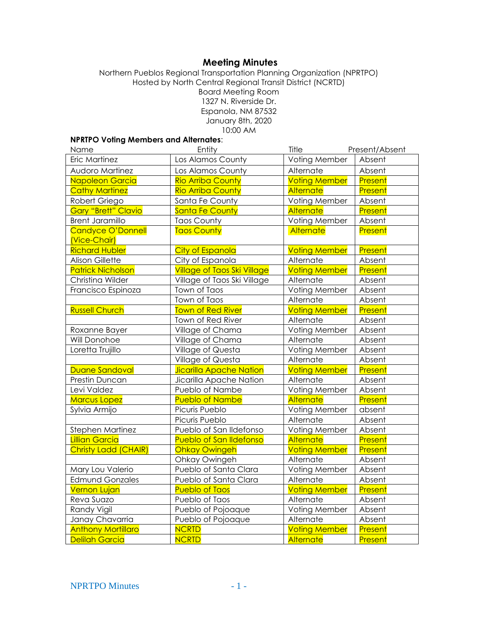# **Meeting Minutes**

Northern Pueblos Regional Transportation Planning Organization (NPRTPO) Hosted by North Central Regional Transit District (NCRTD) Board Meeting Room 1327 N. Riverside Dr. Espanola, NM 87532 January 8th, 2020 10:00 AM

#### **NPRTPO Voting Members and Alternates**:

| Name                       | Entity                             | Title                | Present/Absent |
|----------------------------|------------------------------------|----------------------|----------------|
| Eric Martinez              | Los Alamos County                  | Voting Member        | Absent         |
| <b>Audoro Martinez</b>     | Los Alamos County                  | Alternate            | Absent         |
| Napoleon Garcia            | <b>Rio Arriba County</b>           | <b>Voting Member</b> | Present        |
| <b>Cathy Martinez</b>      | <b>Rio Arriba County</b>           | Alternate            | Present        |
| Robert Griego              | Santa Fe County                    | Voting Member        | Absent         |
| <b>Gary "Brett" Clavio</b> | Santa Fe County                    | Alternate            | Present        |
| <b>Brent Jaramillo</b>     | <b>Taos County</b>                 | Voting Member        | Absent         |
| Candyce O'Donnell          | <b>Taos County</b>                 | Alternate            | Present        |
| (Vice-Chair)               |                                    |                      |                |
| <b>Richard Hubler</b>      | <b>City of Espanola</b>            | <b>Voting Member</b> | Present        |
| <b>Alison Gillette</b>     | City of Espanola                   | Alternate            | Absent         |
| <b>Patrick Nicholson</b>   | <b>Village of Taos Ski Village</b> | <b>Voting Member</b> | Present        |
| Christina Wilder           | Village of Taos Ski Village        | Alternate            | Absent         |
| Francisco Espinoza         | Town of Taos                       | Voting Member        | Absent         |
|                            | Town of Taos                       | Alternate            | Absent         |
| <b>Russell Church</b>      | <b>Town of Red River</b>           | <b>Voting Member</b> | Present        |
|                            | Town of Red River                  | Alternate            | Absent         |
| Roxanne Bayer              | Village of Chama                   | Voting Member        | Absent         |
| Will Donohoe               | Village of Chama                   | Alternate            | Absent         |
| Loretta Trujillo           | Village of Questa                  | Voting Member        | Absent         |
|                            | Village of Questa                  | Alternate            | Absent         |
| Duane Sandoval             | Jicarilla Apache Nation            | <b>Voting Member</b> | Present        |
| Prestin Duncan             | Jicarilla Apache Nation            | Alternate            | Absent         |
| Levi Valdez                | Pueblo of Nambe                    | Voting Member        | Absent         |
| <b>Marcus Lopez</b>        | <b>Pueblo of Nambe</b>             | Alternate            | Present        |
| Sylvia Armijo              | Picuris Pueblo                     | Voting Member        | absent         |
|                            | Picuris Pueblo                     | Alternate            | Absent         |
| Stephen Martinez           | Pueblo of San Ildefonso            | Voting Member        | Absent         |
| <b>Lillian Garcia</b>      | <b>Pueblo of San Ildefonso</b>     | Alternate            | Present        |
| Christy Ladd (CHAIR)       | <b>Ohkay Owingeh</b>               | <b>Voting Member</b> | Present        |
|                            | Ohkay Owingeh                      | Alternate            | Absent         |
| Mary Lou Valerio           | Pueblo of Santa Clara              | Voting Member        | Absent         |
| <b>Edmund Gonzales</b>     | Pueblo of Santa Clara              | Alternate            | Absent         |
| <b>Vernon Lujan</b>        | <b>Pueblo of Taos</b>              | <b>Voting Member</b> | Present        |
| Reva Suazo                 | Pueblo of Taos                     | Alternate            | Absent         |
| Randy Vigil                | Pueblo of Pojoaque                 | Voting Member        | Absent         |
| Janay Chavarria            | Pueblo of Pojoaque                 | Alternate            | Absent         |
| <b>Anthony Mortillaro</b>  | <b>NCRTD</b>                       | <b>Voting Member</b> | Present        |
| <b>Delilah Garcia</b>      | <b>NCRTD</b>                       | <b>Alternate</b>     | Present        |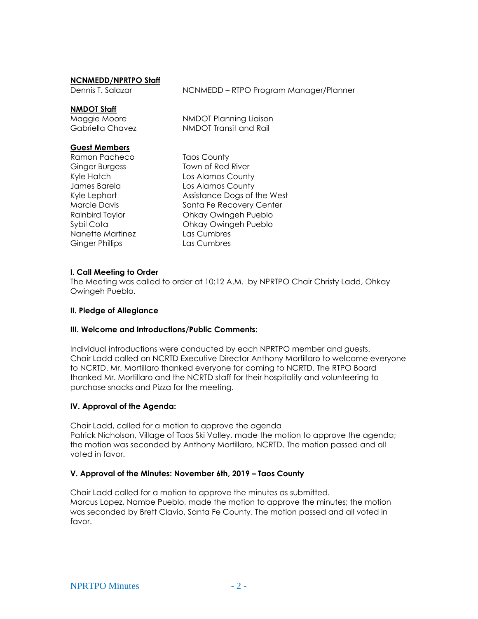#### **NCNMEDD/NPRTPO Staff**

Dennis T. Salazar **NONMEDD** – RTPO Program Manager/Planner

#### **NMDOT Staff**

Maggie Moore NMDOT Planning Liaison Gabriella Chavez NMDOT Transit and Rail

#### **Guest Members**

Ramon Pacheco Taos County Nanette Martinez Las Cumbres Ginger Phillips Las Cumbres

Ginger Burgess Town of Red River Kyle Hatch Los Alamos County James Barela Los Alamos County Kyle Lephart **Assistance Dogs of the West** Marcie Davis **Santa Fe Recovery Center** Rainbird Taylor Ohkay Owingeh Pueblo Sybil Cota Ohkay Owingeh Pueblo

#### **I. Call Meeting to Order**

The Meeting was called to order at 10:12 A.M. by NPRTPO Chair Christy Ladd, Ohkay Owingeh Pueblo.

#### **II. Pledge of Allegiance**

#### **III. Welcome and Introductions/Public Comments:**

Individual introductions were conducted by each NPRTPO member and guests. Chair Ladd called on NCRTD Executive Director Anthony Mortillaro to welcome everyone to NCRTD. Mr. Mortillaro thanked everyone for coming to NCRTD. The RTPO Board thanked Mr. Mortillaro and the NCRTD staff for their hospitality and volunteering to purchase snacks and Pizza for the meeting.

#### **IV. Approval of the Agenda:**

Chair Ladd, called for a motion to approve the agenda Patrick Nicholson, Village of Taos Ski Valley, made the motion to approve the agenda; the motion was seconded by Anthony Mortillaro, NCRTD. The motion passed and all voted in favor.

#### **V. Approval of the Minutes: November 6th, 2019 – Taos County**

Chair Ladd called for a motion to approve the minutes as submitted. Marcus Lopez, Nambe Pueblo, made the motion to approve the minutes; the motion was seconded by Brett Clavio, Santa Fe County. The motion passed and all voted in favor.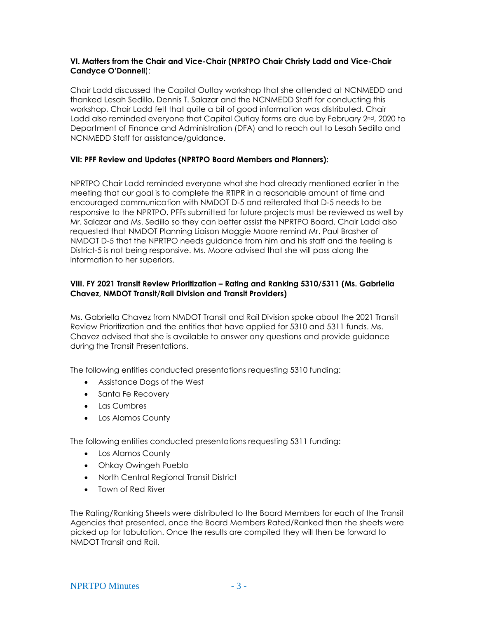# **VI. Matters from the Chair and Vice-Chair (NPRTPO Chair Christy Ladd and Vice-Chair Candyce O'Donnell**):

Chair Ladd discussed the Capital Outlay workshop that she attended at NCNMEDD and thanked Lesah Sedillo, Dennis T. Salazar and the NCNMEDD Staff for conducting this workshop, Chair Ladd felt that quite a bit of good information was distributed. Chair Ladd also reminded everyone that Capital Outlay forms are due by February 2<sup>nd</sup>, 2020 to Department of Finance and Administration (DFA) and to reach out to Lesah Sedillo and NCNMEDD Staff for assistance/guidance.

# **VII: PFF Review and Updates (NPRTPO Board Members and Planners):**

NPRTPO Chair Ladd reminded everyone what she had already mentioned earlier in the meeting that our goal is to complete the RTIPR in a reasonable amount of time and encouraged communication with NMDOT D-5 and reiterated that D-5 needs to be responsive to the NPRTPO. PFFs submitted for future projects must be reviewed as well by Mr. Salazar and Ms. Sedillo so they can better assist the NPRTPO Board. Chair Ladd also requested that NMDOT Planning Liaison Maggie Moore remind Mr. Paul Brasher of NMDOT D-5 that the NPRTPO needs guidance from him and his staff and the feeling is District-5 is not being responsive. Ms. Moore advised that she will pass along the information to her superiors.

# **VIII. FY 2021 Transit Review Prioritization – Rating and Ranking 5310/5311 (Ms. Gabriella Chavez, NMDOT Transit/Rail Division and Transit Providers)**

Ms. Gabriella Chavez from NMDOT Transit and Rail Division spoke about the 2021 Transit Review Prioritization and the entities that have applied for 5310 and 5311 funds. Ms. Chavez advised that she is available to answer any questions and provide guidance during the Transit Presentations.

The following entities conducted presentations requesting 5310 funding:

- Assistance Dogs of the West
- Santa Fe Recovery
- Las Cumbres
- Los Alamos County

The following entities conducted presentations requesting 5311 funding:

- Los Alamos County
- Ohkay Owingeh Pueblo
- North Central Regional Transit District
- Town of Red River

The Rating/Ranking Sheets were distributed to the Board Members for each of the Transit Agencies that presented, once the Board Members Rated/Ranked then the sheets were picked up for tabulation. Once the results are compiled they will then be forward to NMDOT Transit and Rail.